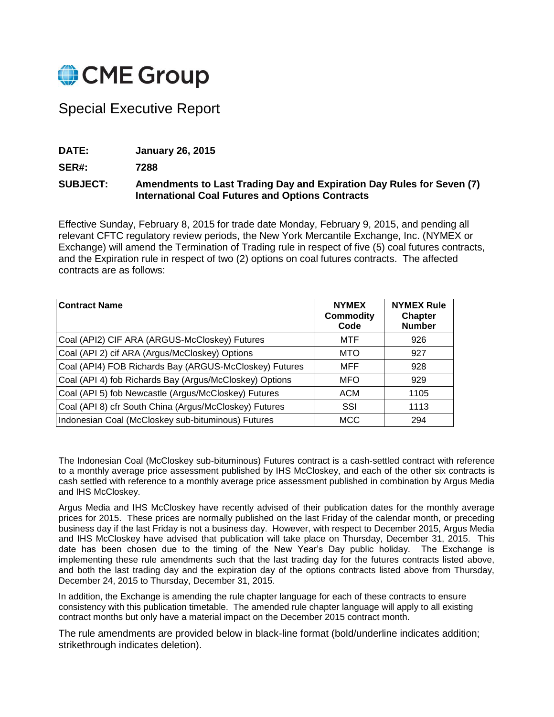

# Special Executive Report

**DATE: January 26, 2015**

**SER#: 7288**

# **SUBJECT: Amendments to Last Trading Day and Expiration Day Rules for Seven (7) International Coal Futures and Options Contracts**

Effective Sunday, February 8, 2015 for trade date Monday, February 9, 2015, and pending all relevant CFTC regulatory review periods, the New York Mercantile Exchange, Inc. (NYMEX or Exchange) will amend the Termination of Trading rule in respect of five (5) coal futures contracts, and the Expiration rule in respect of two (2) options on coal futures contracts. The affected contracts are as follows:

| <b>Contract Name</b>                                    | <b>NYMEX</b><br><b>Commodity</b><br>Code | <b>NYMEX Rule</b><br><b>Chapter</b><br><b>Number</b> |
|---------------------------------------------------------|------------------------------------------|------------------------------------------------------|
| Coal (API2) CIF ARA (ARGUS-McCloskey) Futures           | MTF                                      | 926                                                  |
| Coal (API 2) cif ARA (Argus/McCloskey) Options          | <b>MTO</b>                               | 927                                                  |
| Coal (API4) FOB Richards Bay (ARGUS-McCloskey) Futures  | MFF                                      | 928                                                  |
| Coal (API 4) fob Richards Bay (Argus/McCloskey) Options | <b>MFO</b>                               | 929                                                  |
| Coal (API 5) fob Newcastle (Argus/McCloskey) Futures    | <b>ACM</b>                               | 1105                                                 |
| Coal (API 8) cfr South China (Argus/McCloskey) Futures  | SSI                                      | 1113                                                 |
| Indonesian Coal (McCloskey sub-bituminous) Futures      | <b>MCC</b>                               | 294                                                  |

The Indonesian Coal (McCloskey sub-bituminous) Futures contract is a cash-settled contract with reference to a monthly average price assessment published by IHS McCloskey, and each of the other six contracts is cash settled with reference to a monthly average price assessment published in combination by Argus Media and IHS McCloskey.

Argus Media and IHS McCloskey have recently advised of their publication dates for the monthly average prices for 2015. These prices are normally published on the last Friday of the calendar month, or preceding business day if the last Friday is not a business day. However, with respect to December 2015, Argus Media and IHS McCloskey have advised that publication will take place on Thursday, December 31, 2015. This date has been chosen due to the timing of the New Year's Day public holiday. The Exchange is implementing these rule amendments such that the last trading day for the futures contracts listed above, and both the last trading day and the expiration day of the options contracts listed above from Thursday, December 24, 2015 to Thursday, December 31, 2015.

In addition, the Exchange is amending the rule chapter language for each of these contracts to ensure consistency with this publication timetable. The amended rule chapter language will apply to all existing contract months but only have a material impact on the December 2015 contract month.

The rule amendments are provided below in black-line format (bold/underline indicates addition; strikethrough indicates deletion).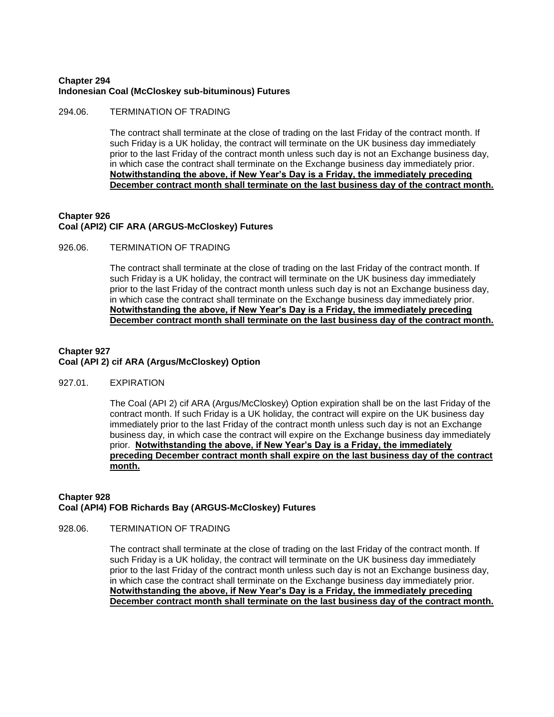## **Chapter 294 Indonesian Coal (McCloskey sub-bituminous) Futures**

## 294.06. TERMINATION OF TRADING

The contract shall terminate at the close of trading on the last Friday of the contract month. If such Friday is a UK holiday, the contract will terminate on the UK business day immediately prior to the last Friday of the contract month unless such day is not an Exchange business day, in which case the contract shall terminate on the Exchange business day immediately prior. **Notwithstanding the above, if New Year's Day is a Friday, the immediately preceding December contract month shall terminate on the last business day of the contract month.**

## **Chapter 926 Coal (API2) CIF ARA (ARGUS-McCloskey) Futures**

#### 926.06. TERMINATION OF TRADING

The contract shall terminate at the close of trading on the last Friday of the contract month. If such Friday is a UK holiday, the contract will terminate on the UK business day immediately prior to the last Friday of the contract month unless such day is not an Exchange business day, in which case the contract shall terminate on the Exchange business day immediately prior. **Notwithstanding the above, if New Year's Day is a Friday, the immediately preceding December contract month shall terminate on the last business day of the contract month.**

## **Chapter 927 Coal (API 2) cif ARA (Argus/McCloskey) Option**

## 927.01. EXPIRATION

The Coal (API 2) cif ARA (Argus/McCloskey) Option expiration shall be on the last Friday of the contract month. If such Friday is a UK holiday, the contract will expire on the UK business day immediately prior to the last Friday of the contract month unless such day is not an Exchange business day, in which case the contract will expire on the Exchange business day immediately prior. **Notwithstanding the above, if New Year's Day is a Friday, the immediately preceding December contract month shall expire on the last business day of the contract month.**

## **Chapter 928 Coal (API4) FOB Richards Bay (ARGUS-McCloskey) Futures**

#### 928.06. TERMINATION OF TRADING

The contract shall terminate at the close of trading on the last Friday of the contract month. If such Friday is a UK holiday, the contract will terminate on the UK business day immediately prior to the last Friday of the contract month unless such day is not an Exchange business day, in which case the contract shall terminate on the Exchange business day immediately prior. **Notwithstanding the above, if New Year's Day is a Friday, the immediately preceding December contract month shall terminate on the last business day of the contract month.**